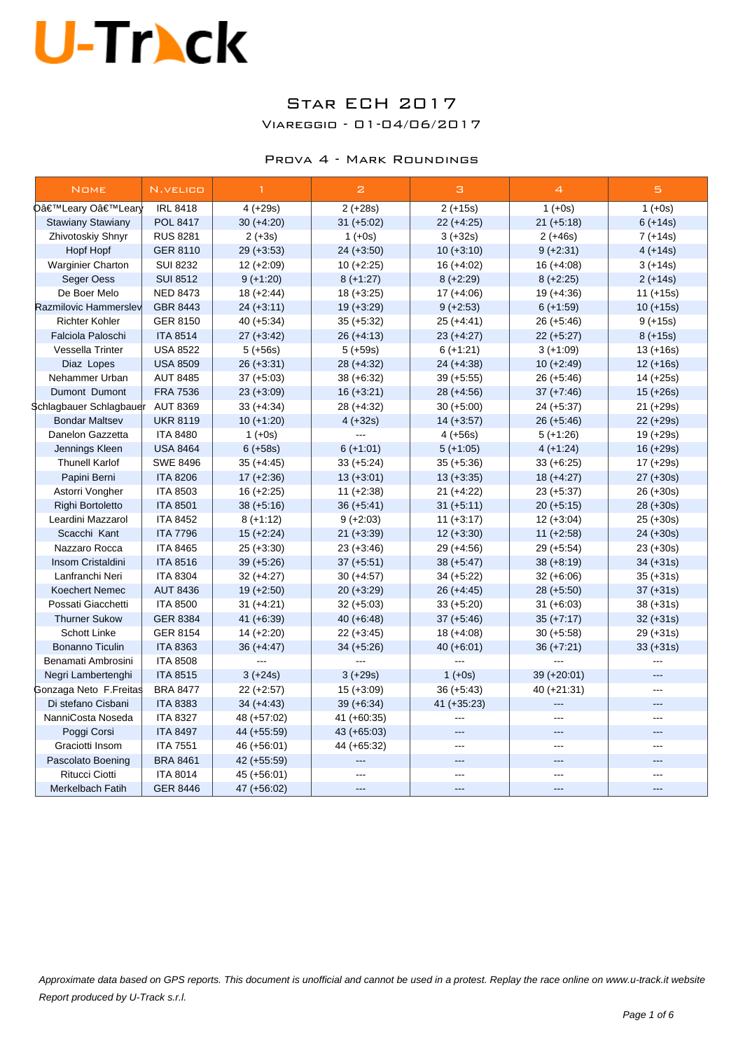### Star ECH 2017

Viareggio - 01-04/06/2017

#### Prova 4 - Mark Roundings

| <b>NOME</b>              | N.VELICO        | $\mathbf{1}$  | $\mathbf{z}$   | з             | $\overline{4}$ | 5              |
|--------------------------|-----------------|---------------|----------------|---------------|----------------|----------------|
| O'Leary O'Learly         | <b>IRL 8418</b> | $4 (+29s)$    | $2 (+28s)$     | $2 (+15s)$    | $1 (+0s)$      | $1 (+0s)$      |
| <b>Stawiany Stawiany</b> | POL 8417        | $30 (+4:20)$  | $31 (+5:02)$   | $22 (+4:25)$  | $21 (+5:18)$   | $6 (+14s)$     |
| Zhivotoskiy Shnyr        | <b>RUS 8281</b> | $2 (+3s)$     | $1 (+0s)$      | $3 (+32s)$    | $2 (+46s)$     | $7 (+14s)$     |
| Hopf Hopf                | <b>GER 8110</b> | $29 (+3:53)$  | $24 (+3.50)$   | $10 (+3:10)$  | $9 (+2.31)$    | $4 (+14s)$     |
| Warginier Charton        | <b>SUI 8232</b> | $12 (+2:09)$  | $10 (+2:25)$   | $16 (+4:02)$  | $16 (+4.08)$   | $3 (+14s)$     |
| Seger Oess               | <b>SUI 8512</b> | $9 (+1:20)$   | $8 (+1:27)$    | $8 (+2:29)$   | $8 (+2:25)$    | $2 (+14s)$     |
| De Boer Melo             | <b>NED 8473</b> | $18 (+2:44)$  | $18 (+3:25)$   | $17 (+4:06)$  | $19 (+4:36)$   | $11 (+15s)$    |
| Razmilovic Hammerslev    | GBR 8443        | $24 (+3.11)$  | $19 (+3:29)$   | $9 (+2:53)$   | $6 (+1:59)$    | $10 (+15s)$    |
| <b>Richter Kohler</b>    | <b>GER 8150</b> | $40 (+5.34)$  | $35 (+5:32)$   | $25 (+4:41)$  | $26 (+5:46)$   | $9 (+15s)$     |
| Falciola Paloschi        | <b>ITA 8514</b> | $27 (+3:42)$  | $26 (+4:13)$   | $23 (+4:27)$  | $22 (+5:27)$   | $8 (+15s)$     |
| Vessella Trinter         | <b>USA 8522</b> | $5 (+56s)$    | $5 (+59s)$     | $6 (+1:21)$   | $3 (+1:09)$    | $13 (+16s)$    |
| Diaz Lopes               | <b>USA 8509</b> | $26 (+3:31)$  | 28 (+4:32)     | $24 (+4.38)$  | $10 (+2:49)$   | $12 (+16s)$    |
| Nehammer Urban           | <b>AUT 8485</b> | $37 (+5:03)$  | $38 (+6.32)$   | $39 (+5:55)$  | $26 (+5:46)$   | $14 (+25s)$    |
| Dumont Dumont            | <b>FRA 7536</b> | $23 (+3.09)$  | $16 (+3:21)$   | $28 (+4:56)$  | $37 (+7:46)$   | $15 (+26s)$    |
| Schlagbauer Schlagbauer  | <b>AUT 8369</b> | $33 (+4:34)$  | 28 (+4:32)     | $30 (+5:00)$  | $24 (+5:37)$   | $21 (+29s)$    |
| <b>Bondar Maltsev</b>    | <b>UKR 8119</b> | $10 (+1:20)$  | $4 (+32s)$     | $14 (+3.57)$  | $26 (+5:46)$   | $22 (+29s)$    |
| Danelon Gazzetta         | <b>ITA 8480</b> | $1 (+0s)$     | ---            | $4 (+56s)$    | $5 (+1:26)$    | $19 (+29s)$    |
| Jennings Kleen           | <b>USA 8464</b> | $6 (+58s)$    | $6 (+1:01)$    | $5 (+1:05)$   | $4 (+1:24)$    | $16 (+29s)$    |
| <b>Thunell Karlof</b>    | <b>SWE 8496</b> | $35 (+4:45)$  | $33 (+5:24)$   | $35 (+5:36)$  | $33 (+6.25)$   | $17 (+29s)$    |
| Papini Berni             | <b>ITA 8206</b> | $17 (+2:36)$  | $13 (+3.01)$   | $13 (+3:35)$  | $18 (+4:27)$   | $27 (+30s)$    |
| Astorri Vongher          | <b>ITA 8503</b> | $16 (+2:25)$  | $11 (+2:38)$   | $21 (+4:22)$  | $23 (+5:37)$   | $26 (+30s)$    |
| Righi Bortoletto         | <b>ITA 8501</b> | $38 (+5:16)$  | $36 (+5:41)$   | $31 (+5:11)$  | $20 (+5:15)$   | $28 (+30s)$    |
| Leardini Mazzarol        | <b>ITA 8452</b> | $8 (+1:12)$   | $9 (+2:03)$    | $11 (+3:17)$  | $12 (+3.04)$   | $25 (+30s)$    |
| Scacchi Kant             | <b>ITA 7796</b> | $15 (+2:24)$  | $21 (+3.39)$   | $12 (+3:30)$  | $11 (+2:58)$   | $24 (+30s)$    |
| Nazzaro Rocca            | <b>ITA 8465</b> | $25 (+3:30)$  | $23 (+3:46)$   | $29 (+4.56)$  | $29 (+5.54)$   | $23 (+30s)$    |
| Insom Cristaldini        | <b>ITA 8516</b> | $39 (+5.26)$  | $37 (+5.51)$   | $38 (+5.47)$  | $38 (+8.19)$   | $34 (+31s)$    |
| Lanfranchi Neri          | <b>ITA 8304</b> | $32 (+4:27)$  | $30 (+4.57)$   | $34 (+5.22)$  | $32 (+6.06)$   | $35 (+31s)$    |
| <b>Koechert Nemec</b>    | <b>AUT 8436</b> | $19 (+2.50)$  | $20 (+3.29)$   | $26 (+4.45)$  | $28 (+5.50)$   | $37 (+31s)$    |
| Possati Giacchetti       | <b>ITA 8500</b> | $31 (+4.21)$  | $32 (+5.03)$   | $33 (+5:20)$  | $31 (+6.03)$   | $38 (+31s)$    |
| <b>Thurner Sukow</b>     | <b>GER 8384</b> | 41 $(+6.39)$  | $40 (+6.48)$   | $37 (+5.46)$  | $35 (+7:17)$   | $32 (+31s)$    |
| <b>Schott Linke</b>      | GER 8154        | $14 (+2:20)$  | $22 (+3.45)$   | $18 (+4.08)$  | $30 (+5.58)$   | $29 (+31s)$    |
| <b>Bonanno Ticulin</b>   | <b>ITA 8363</b> | $36 (+4.47)$  | $34 (+5.26)$   | 40 $(+6.01)$  | $36 (+7:21)$   | $33 (+31s)$    |
| Benamati Ambrosini       | <b>ITA 8508</b> |               |                |               |                | $\overline{a}$ |
| Negri Lambertenghi       | <b>ITA 8515</b> | $3 (+24s)$    | $3 (+29s)$     | $1 (+0s)$     | $39 (+20.01)$  |                |
| Gonzaga Neto F.Freitas   | <b>BRA 8477</b> | $22 (+2:57)$  | $15 (+3.09)$   | $36 (+5.43)$  | $40 (+21:31)$  | ---            |
| Di stefano Cisbani       | <b>ITA 8383</b> | $34 (+4.43)$  | $39 (+6.34)$   | $41 (+35:23)$ | ---            | ---            |
| NanniCosta Noseda        | <b>ITA 8327</b> | 48 (+57:02)   | $41 (+60:35)$  | $---$         | ---            | ---            |
| Poggi Corsi              | <b>ITA 8497</b> | 44 (+55:59)   | $43 (+65:03)$  | $---$         | ---            | $---$          |
| Graciotti Insom          | <b>ITA 7551</b> | 46 (+56:01)   | 44 (+65:32)    | $-$           | ---            | ---            |
| Pascolato Boening        | <b>BRA 8461</b> | $42 (+55.59)$ | $\overline{a}$ | ---           | ---            | ---            |
| Ritucci Ciotti           | <b>ITA 8014</b> | 45 (+56:01)   | $-$            | ---           | ---            | ---            |
| Merkelbach Fatih         | <b>GER 8446</b> | 47 (+56:02)   |                | ---           |                |                |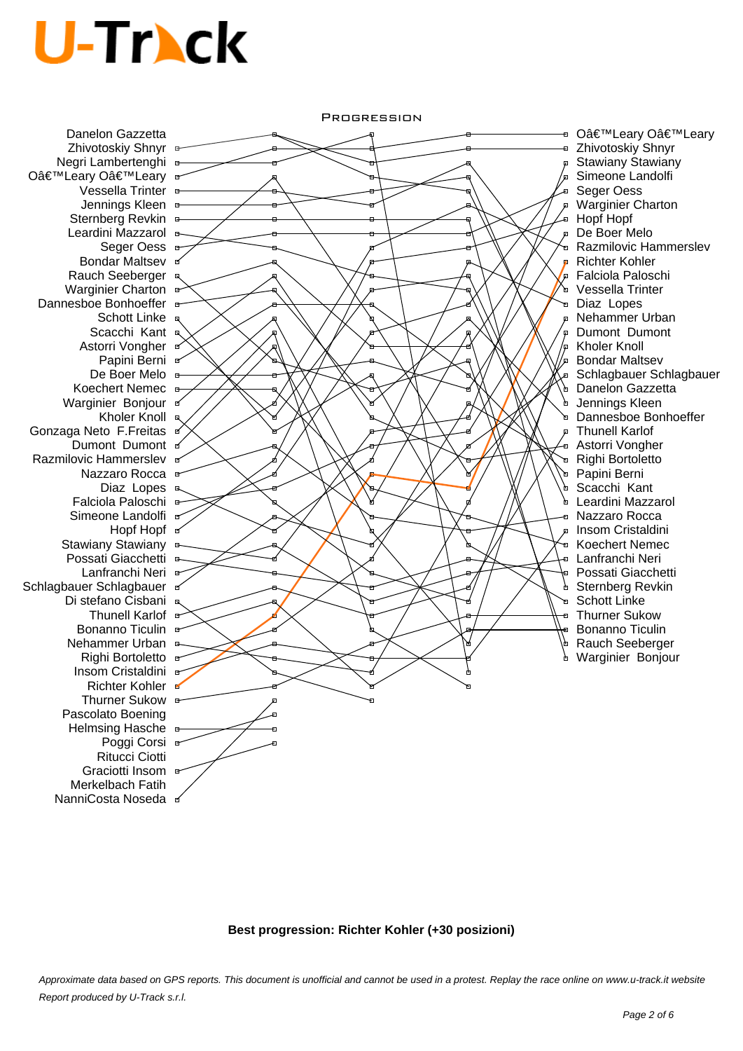Danelon Gazzetta Zhivotoskiy Shnyr Negri Lambertenghi O'Leary O'Leary **Vessella Trinter** Jennings Kleen Sternberg Revkin Leardini Mazzarol B Seger Oess B **Bondar Maltsev** Rauch Seeberger Warginier Charton Dannesboe Bonhoeffer Schott Linke Scacchi Kant Astorri Vongher Papini Berni <sup>a</sup> De Boer Melo **B** Koechert Nemec B Warginier Bonjour Kholer Knoll & Gonzaga Neto F.Freitas Dumont Dumont of Razmilovic Hammerslev Nazzaro Rocca <sup>B</sup> Diaz Lopes B Falciola Paloschi Simeone Landolfi <sub>ar</sub> Hopf a Stawiany Stawiany B Possati Giacchetti B Lanfranchi Neri <sup>a</sup> Schlagbauer Schlagbauer <sup>e</sup> Di stefano Cisbani <sup>a</sup> Thunell Karlof & Bonanno Ticulin B Nehammer Urban Righi Bortoletto <sup>a-</sup> Insom Cristaldini <sup>B</sup> Richter Kohler Thurner Sukow **E** Pascolato Boening Helmsing Hasche Poggi Corsi Ritucci Ciotti Graciotti Insom <sup>a</sup> Merkelbach Fatih NanniCosta Noseda **¤** 



⊕ O'Leary O'Leary Zhivotoskiy Shnyr Stawiany Stawiany Simeone Landolfi Seger Oess Warginier Charton Hopf Hopf De Boer Melo Razmilovic Hammerslev Richter Kohler Falciola Paloschi Vessella Trinter Diaz Lopes Nehammer Urban Dumont Dumont Kholer Knoll Bondar Maltsev Schlagbauer Schlagbauer Danelon Gazzetta Jennings Kleen Dannesboe Bonhoeffer Thunell Karlof Astorri Vongher Righi Bortoletto Papini Berni Scacchi Kant Leardini Mazzarol Nazzaro Rocca Insom Cristaldini Koechert Nemec Lanfranchi Neri Possati Giacchetti Sternberg Revkin Schott Linke Thurner Sukow Bonanno Ticulin Rauch Seeberger Warginier Bonjour

**Best progression: Richter Kohler (+30 posizioni)**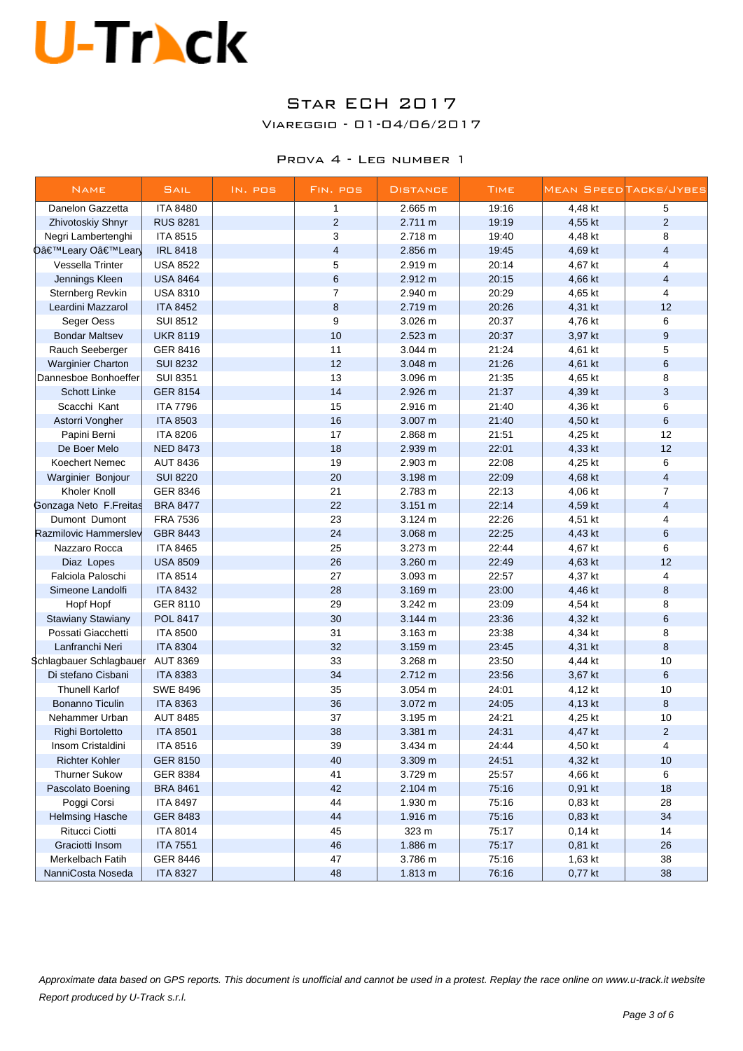### Star ECH 2017

Viareggio - 01-04/06/2017

#### Prova 4 - Leg number 1

| <b>NAME</b>              | SAIL            | IN. POS | FIN. POS                | <b>DISTANCE</b>   | <b>TIME</b> |         | MEAN SPEEDTACKS/JYBES   |
|--------------------------|-----------------|---------|-------------------------|-------------------|-------------|---------|-------------------------|
| Danelon Gazzetta         | <b>ITA 8480</b> |         | 1                       | 2.665 m           | 19:16       | 4,48 kt | 5                       |
| Zhivotoskiy Shnyr        | <b>RUS 8281</b> |         | 2                       | 2.711 m           | 19:19       | 4,55 kt | $\overline{2}$          |
| Negri Lambertenghi       | <b>ITA 8515</b> |         | 3                       | 2.718 m           | 19:40       | 4,48 kt | 8                       |
| D'Leary O'Lear           | <b>IRL 8418</b> |         | $\overline{\mathbf{4}}$ | 2.856 m           | 19:45       | 4,69 kt | $\overline{\mathbf{4}}$ |
| Vessella Trinter         | <b>USA 8522</b> |         | 5                       | 2.919 m           | 20:14       | 4,67 kt | $\overline{4}$          |
| Jennings Kleen           | <b>USA 8464</b> |         | 6                       | 2.912 m           | 20:15       | 4,66 kt | $\overline{4}$          |
| Sternberg Revkin         | <b>USA 8310</b> |         | $\overline{7}$          | 2.940 m           | 20:29       | 4,65 kt | $\overline{4}$          |
| Leardini Mazzarol        | <b>ITA 8452</b> |         | $\bf8$                  | 2.719 m           | 20:26       | 4,31 kt | 12                      |
| Seger Oess               | <b>SUI 8512</b> |         | 9                       | 3.026 m           | 20:37       | 4,76 kt | 6                       |
| <b>Bondar Maltsev</b>    | <b>UKR 8119</b> |         | 10                      | 2.523 m           | 20:37       | 3,97 kt | 9                       |
| Rauch Seeberger          | GER 8416        |         | 11                      | 3.044 m           | 21:24       | 4,61 kt | 5                       |
| <b>Warginier Charton</b> | <b>SUI 8232</b> |         | 12                      | 3.048 m           | 21:26       | 4,61 kt | 6                       |
| Dannesboe Bonhoeffer     | <b>SUI 8351</b> |         | 13                      | 3.096 m           | 21:35       | 4,65 kt | 8                       |
| <b>Schott Linke</b>      | <b>GER 8154</b> |         | 14                      | 2.926 m           | 21:37       | 4,39 kt | $\mathbf{3}$            |
| Scacchi Kant             | <b>ITA 7796</b> |         | 15                      | 2.916 m           | 21:40       | 4,36 kt | 6                       |
| Astorri Vongher          | <b>ITA 8503</b> |         | 16                      | 3.007 m           | 21:40       | 4,50 kt | 6                       |
| Papini Berni             | <b>ITA 8206</b> |         | 17                      | 2.868 m           | 21:51       | 4,25 kt | 12                      |
| De Boer Melo             | <b>NED 8473</b> |         | 18                      | 2.939 m           | 22:01       | 4,33 kt | 12                      |
| Koechert Nemec           | <b>AUT 8436</b> |         | 19                      | 2.903 m           | 22:08       | 4,25 kt | 6                       |
| Warginier Bonjour        | <b>SUI 8220</b> |         | 20                      | 3.198 m           | 22:09       | 4,68 kt | $\overline{4}$          |
| Kholer Knoll             | GER 8346        |         | 21                      | 2.783 m           | 22:13       | 4,06 kt | $\overline{7}$          |
| Gonzaga Neto F.Freitas   | <b>BRA 8477</b> |         | 22                      | 3.151 m           | 22:14       | 4,59 kt | $\overline{\mathbf{4}}$ |
| Dumont Dumont            | <b>FRA 7536</b> |         | 23                      | 3.124 m           | 22:26       | 4,51 kt | 4                       |
| Razmilovic Hammerslev    | GBR 8443        |         | 24                      | 3.068 m           | 22:25       | 4,43 kt | 6                       |
| Nazzaro Rocca            | <b>ITA 8465</b> |         | 25                      | 3.273 m           | 22:44       | 4,67 kt | 6                       |
| Diaz Lopes               | <b>USA 8509</b> |         | 26                      | 3.260 m           | 22:49       | 4,63 kt | 12                      |
| Falciola Paloschi        | <b>ITA 8514</b> |         | 27                      | 3.093 m           | 22:57       | 4,37 kt | 4                       |
| Simeone Landolfi         | <b>ITA 8432</b> |         | 28                      | 3.169 m           | 23:00       | 4,46 kt | 8                       |
| Hopf Hopf                | GER 8110        |         | 29                      | 3.242 m           | 23:09       | 4,54 kt | 8                       |
| <b>Stawiany Stawiany</b> | <b>POL 8417</b> |         | 30                      | 3.144 m           | 23:36       | 4,32 kt | 6                       |
| Possati Giacchetti       | <b>ITA 8500</b> |         | 31                      | 3.163 m           | 23:38       | 4,34 kt | 8                       |
| Lanfranchi Neri          | <b>ITA 8304</b> |         | 32                      | 3.159 m           | 23:45       | 4,31 kt | $\bf8$                  |
| Schlagbauer Schlagbauer  | <b>AUT 8369</b> |         | 33                      | 3.268 m           | 23:50       | 4,44 kt | 10                      |
| Di stefano Cisbani       | <b>ITA 8383</b> |         | 34                      | 2.712 m           | 23:56       | 3,67 kt | 6                       |
| <b>Thunell Karlof</b>    | <b>SWE 8496</b> |         | 35                      | 3.054 m           | 24:01       | 4,12 kt | 10                      |
| <b>Bonanno Ticulin</b>   | <b>ITA 8363</b> |         | 36                      | 3.072 m           | 24:05       | 4,13 kt | 8                       |
| Nehammer Urban           | <b>AUT 8485</b> |         | 37                      | 3.195 m           | 24:21       | 4,25 kt | 10                      |
| Righi Bortoletto         | <b>ITA 8501</b> |         | 38                      | $3.381 \text{ m}$ | 24:31       | 4,47 kt | $\overline{2}$          |
| Insom Cristaldini        | <b>ITA 8516</b> |         | 39                      | 3.434 m           | 24:44       | 4,50 kt | 4                       |
| <b>Richter Kohler</b>    | <b>GER 8150</b> |         | 40                      | 3.309 m           | 24:51       | 4,32 kt | 10                      |
| <b>Thurner Sukow</b>     | GER 8384        |         | 41                      | 3.729 m           | 25:57       | 4,66 kt | 6                       |
| Pascolato Boening        | <b>BRA 8461</b> |         | 42                      | 2.104 m           | 75:16       | 0,91 kt | 18                      |
| Poggi Corsi              | <b>ITA 8497</b> |         | 44                      | 1.930 m           | 75:16       | 0,83 kt | 28                      |
| <b>Helmsing Hasche</b>   | GER 8483        |         | 44                      | 1.916 m           | 75:16       | 0,83 kt | 34                      |
| Ritucci Ciotti           | <b>ITA 8014</b> |         | 45                      | 323 m             | 75:17       | 0,14 kt | 14                      |
| Graciotti Insom          | <b>ITA 7551</b> |         | 46                      | 1.886 m           | 75:17       | 0,81 kt | 26                      |
| Merkelbach Fatih         | GER 8446        |         | 47                      | 3.786 m           | 75:16       | 1,63 kt | 38                      |
| NanniCosta Noseda        | <b>ITA 8327</b> |         | 48                      | 1.813 m           | 76:16       | 0,77 kt | 38                      |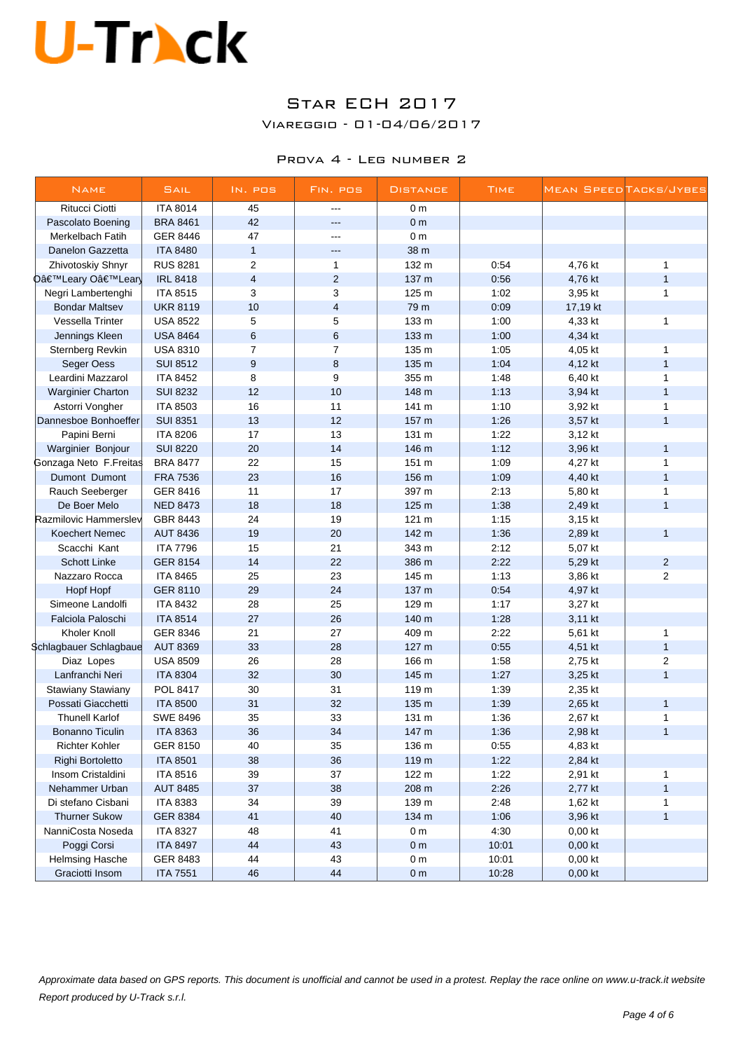### Star ECH 2017

Viareggio - 01-04/06/2017

#### Prova 4 - Leg number 2

| <b>NAME</b>                                    | <b>SAIL</b>     | IN. POS                 | FIN. POS                | <b>DISTANCE</b>  | <b>TIME</b> |                    | MEAN SPEED TACKS/JYBES |
|------------------------------------------------|-----------------|-------------------------|-------------------------|------------------|-------------|--------------------|------------------------|
| <b>Ritucci Ciotti</b>                          | <b>ITA 8014</b> | 45                      | $---$                   | 0 <sub>m</sub>   |             |                    |                        |
| Pascolato Boening                              | <b>BRA 8461</b> | 42                      | $\overline{a}$          | 0 <sub>m</sub>   |             |                    |                        |
| Merkelbach Fatih                               | <b>GER 8446</b> | 47                      | ---                     | 0 <sub>m</sub>   |             |                    |                        |
| Danelon Gazzetta                               | <b>ITA 8480</b> | $\mathbf{1}$            | $-$                     | 38 m             |             |                    |                        |
| Zhivotoskiy Shnyr                              | <b>RUS 8281</b> | $\overline{2}$          | $\mathbf{1}$            | 132 m            | 0:54        | 4,76 kt            | 1                      |
| D'Leary O'Lear                                 | <b>IRL 8418</b> | $\overline{\mathbf{4}}$ | $\overline{2}$          | 137 m            | 0:56        | 4,76 kt            | $\mathbf{1}$           |
| Negri Lambertenghi                             | <b>ITA 8515</b> | 3                       | 3                       | 125 m            | 1:02        | 3,95 kt            | $\mathbf{1}$           |
| <b>Bondar Maltsev</b>                          | <b>UKR 8119</b> | 10                      | $\overline{\mathbf{4}}$ | 79 m             | 0:09        | 17,19 kt           |                        |
| Vessella Trinter                               | <b>USA 8522</b> | 5                       | 5                       | 133 m            | 1:00        | 4,33 kt            | 1                      |
| Jennings Kleen                                 | <b>USA 8464</b> | $6\phantom{1}6$         | 6                       | 133 m            | 1:00        | 4,34 kt            |                        |
| Sternberg Revkin                               | <b>USA 8310</b> | $\overline{7}$          | $\overline{7}$          | 135 m            | 1:05        | 4,05 kt            | 1                      |
| Seger Oess                                     | <b>SUI 8512</b> | 9                       | 8                       | 135 m            | 1:04        | 4,12 kt            | $\mathbf{1}$           |
| Leardini Mazzarol                              | <b>ITA 8452</b> | 8                       | 9                       | 355 m            | 1:48        | 6,40 kt            | $\mathbf{1}$           |
| <b>Warginier Charton</b>                       | <b>SUI 8232</b> | 12                      | 10                      | 148 m            | 1:13        | 3,94 kt            | $\mathbf{1}$           |
| Astorri Vongher                                | <b>ITA 8503</b> | 16                      | 11                      | 141 m            | 1:10        | 3,92 kt            | $\mathbf{1}$           |
| Dannesboe Bonhoeffer                           | <b>SUI 8351</b> | 13                      | 12                      | 157 m            | 1:26        | 3,57 kt            | $\mathbf{1}$           |
| Papini Berni                                   | <b>ITA 8206</b> | 17                      | 13                      | 131 m            | 1:22        | 3,12 kt            |                        |
| Warginier Bonjour                              | <b>SUI 8220</b> | 20                      | 14                      | 146 m            | 1:12        | 3,96 kt            | $\mathbf{1}$           |
| Gonzaga Neto F.Freitas                         | <b>BRA 8477</b> | 22                      | 15                      | 151 m            | 1:09        | 4,27 kt            | 1                      |
| Dumont Dumont                                  | <b>FRA 7536</b> | 23                      | 16                      | 156 m            | 1:09        | 4,40 kt            | $\mathbf{1}$           |
| Rauch Seeberger                                | GER 8416        | 11                      | 17                      | 397 m            | 2:13        | 5,80 kt            | 1                      |
| De Boer Melo                                   | <b>NED 8473</b> | 18                      | 18                      | 125 m            | 1:38        | 2,49 kt            | $\mathbf{1}$           |
| Razmilovic Hammerslev                          | GBR 8443        | 24                      | 19                      | 121 <sub>m</sub> | 1:15        | 3,15 kt            |                        |
| <b>Koechert Nemec</b>                          | <b>AUT 8436</b> | 19                      | 20                      | 142 m            | 1:36        | 2,89 kt            | $\mathbf{1}$           |
| Scacchi Kant                                   | <b>ITA 7796</b> | 15                      | 21                      | 343 m            | 2:12        | 5,07 kt            |                        |
| <b>Schott Linke</b>                            | <b>GER 8154</b> | 14                      | 22                      | 386 m            | 2:22        | 5,29 kt            | $\overline{a}$         |
| Nazzaro Rocca                                  | <b>ITA 8465</b> | 25                      | 23                      | 145 m            | 1:13        | 3,86 kt            | $\overline{2}$         |
| Hopf Hopf                                      | <b>GER 8110</b> | 29                      | 24                      | 137 m            | 0:54        | 4,97 kt            |                        |
| Simeone Landolfi                               | <b>ITA 8432</b> | 28                      | 25                      | 129 m            | 1:17        | 3,27 kt            |                        |
| Falciola Paloschi                              | <b>ITA 8514</b> | 27                      | 26                      | 140 m            | 1:28        | 3,11 kt            |                        |
| Kholer Knoll                                   | GER 8346        | 21                      | 27                      | 409 m            | 2:22        | 5,61 kt            | $\mathbf{1}$           |
| \$chlagbauer Schlagbaue                        | <b>AUT 8369</b> | 33                      | 28                      | 127 <sub>m</sub> | 0:55        | 4,51 kt            | $\mathbf{1}$           |
| Diaz Lopes                                     | <b>USA 8509</b> | 26                      | 28                      | 166 m            | 1:58        | 2,75 kt            | $\overline{2}$         |
| Lanfranchi Neri                                | <b>ITA 8304</b> | 32                      | 30                      | 145 m            | 1:27        |                    | $\mathbf{1}$           |
|                                                | POL 8417        | 30                      | 31                      | 119 m            | 1:39        | 3,25 kt            |                        |
| <b>Stawiany Stawiany</b><br>Possati Giacchetti | <b>ITA 8500</b> | 31                      | 32                      | 135 m            | 1:39        | 2,35 kt<br>2,65 kt | $\mathbf{1}$           |
| <b>Thunell Karlof</b>                          | <b>SWE 8496</b> | 35                      | 33                      |                  | 1:36        |                    |                        |
|                                                |                 | 36                      |                         | 131 m            |             | 2,67 kt            | 1<br>$\mathbf{1}$      |
| Bonanno Ticulin                                | <b>ITA 8363</b> |                         | 34                      | 147 m            | 1:36        | 2,98 kt            |                        |
| <b>Richter Kohler</b>                          | GER 8150        | 40                      | 35                      | 136 m            | 0:55        | 4,83 kt            |                        |
| Righi Bortoletto                               | <b>ITA 8501</b> | 38                      | 36                      | 119 m            | 1:22        | 2,84 kt            |                        |
| Insom Cristaldini                              | <b>ITA 8516</b> | 39                      | 37                      | 122 m            | 1:22        | 2,91 kt            | $\mathbf{1}$           |
| Nehammer Urban                                 | <b>AUT 8485</b> | 37                      | 38                      | 208 m            | 2:26        | 2,77 kt            | 1                      |
| Di stefano Cisbani                             | <b>ITA 8383</b> | 34                      | 39                      | 139 m            | 2:48        | 1,62 kt            | 1                      |
| <b>Thurner Sukow</b>                           | GER 8384        | 41                      | 40                      | 134 m            | 1:06        | 3,96 kt            | $\mathbf{1}$           |
| NanniCosta Noseda                              | <b>ITA 8327</b> | 48                      | 41                      | 0 <sub>m</sub>   | 4:30        | 0,00 kt            |                        |
| Poggi Corsi                                    | <b>ITA 8497</b> | 44                      | 43                      | 0 <sub>m</sub>   | 10:01       | $0,00$ kt          |                        |
| <b>Helmsing Hasche</b>                         | GER 8483        | 44                      | 43                      | 0 <sub>m</sub>   | 10:01       | $0,00$ kt          |                        |
| Graciotti Insom                                | <b>ITA 7551</b> | 46                      | 44                      | 0 <sub>m</sub>   | 10:28       | 0,00 kt            |                        |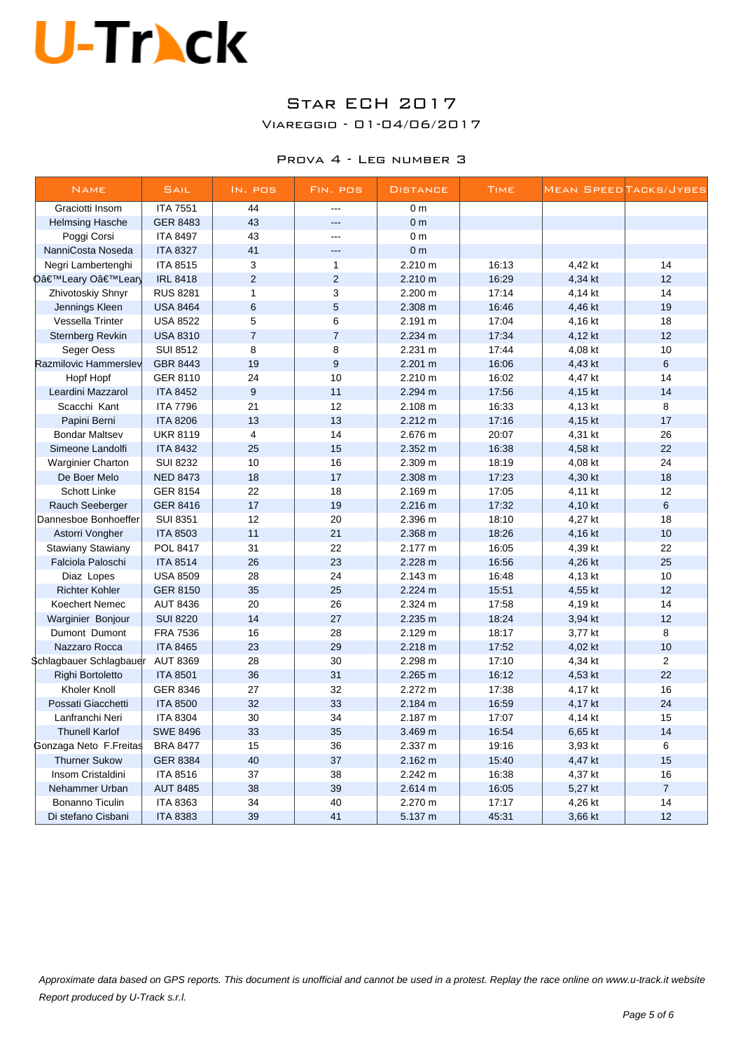### Star ECH 2017

Viareggio - 01-04/06/2017

#### Prova 4 - Leg number 3

| <b>NAME</b>              | SAIL            | IN. POS          | FIN. POS       | <b>DISTANCE</b> | <b>TIME</b> |         | MEAN SPEED TACKS/JYBES |
|--------------------------|-----------------|------------------|----------------|-----------------|-------------|---------|------------------------|
| Graciotti Insom          | <b>ITA 7551</b> | 44               | $\overline{a}$ | 0 <sub>m</sub>  |             |         |                        |
| <b>Helmsing Hasche</b>   | <b>GER 8483</b> | 43               | ш.,            | 0 <sub>m</sub>  |             |         |                        |
| Poggi Corsi              | <b>ITA 8497</b> | 43               | $\overline{a}$ | 0 <sub>m</sub>  |             |         |                        |
| NanniCosta Noseda        | <b>ITA 8327</b> | 41               | $\overline{a}$ | 0 <sub>m</sub>  |             |         |                        |
| Negri Lambertenghi       | <b>ITA 8515</b> | 3                | $\mathbf{1}$   | 2.210 m         | 16:13       | 4,42 kt | 14                     |
| D'Leary O'Lear           | <b>IRL 8418</b> | $\overline{2}$   | $\overline{2}$ | 2.210 m         | 16:29       | 4,34 kt | 12                     |
| Zhivotoskiy Shnyr        | <b>RUS 8281</b> | $\mathbf{1}$     | 3              | 2.200 m         | 17:14       | 4,14 kt | 14                     |
| Jennings Kleen           | <b>USA 8464</b> | $6\phantom{1}6$  | 5              | 2.308 m         | 16:46       | 4,46 kt | 19                     |
| Vessella Trinter         | <b>USA 8522</b> | 5                | 6              | 2.191 m         | 17:04       | 4,16 kt | 18                     |
| <b>Sternberg Revkin</b>  | <b>USA 8310</b> | $\overline{7}$   | $\overline{7}$ | 2.234 m         | 17:34       | 4,12 kt | 12                     |
| Seger Oess               | <b>SUI 8512</b> | 8                | 8              | 2.231 m         | 17:44       | 4,08 kt | 10                     |
| Razmilovic Hammerslev    | GBR 8443        | 19               | $\mathsf g$    | 2.201 m         | 16:06       | 4,43 kt | 6                      |
| Hopf Hopf                | GER 8110        | 24               | 10             | 2.210 m         | 16:02       | 4,47 kt | 14                     |
| Leardini Mazzarol        | <b>ITA 8452</b> | $\boldsymbol{9}$ | 11             | 2.294 m         | 17:56       | 4,15 kt | 14                     |
| Scacchi Kant             | <b>ITA 7796</b> | 21               | 12             | 2.108 m         | 16:33       | 4,13 kt | 8                      |
| Papini Berni             | <b>ITA 8206</b> | 13               | 13             | 2.212 m         | 17:16       | 4,15 kt | 17                     |
| <b>Bondar Maltsev</b>    | <b>UKR 8119</b> | $\overline{4}$   | 14             | 2.676 m         | 20:07       | 4,31 kt | 26                     |
| Simeone Landolfi         | <b>ITA 8432</b> | 25               | 15             | 2.352 m         | 16:38       | 4,58 kt | 22                     |
| <b>Warginier Charton</b> | <b>SUI 8232</b> | 10               | 16             | 2.309 m         | 18:19       | 4,08 kt | 24                     |
| De Boer Melo             | <b>NED 8473</b> | 18               | 17             | 2.308 m         | 17:23       | 4,30 kt | 18                     |
| Schott Linke             | <b>GER 8154</b> | 22               | 18             | 2.169 m         | 17:05       | 4,11 kt | 12                     |
| Rauch Seeberger          | <b>GER 8416</b> | 17               | 19             | 2.216 m         | 17:32       | 4,10 kt | 6                      |
| Dannesboe Bonhoeffer     | <b>SUI 8351</b> | 12               | 20             | 2.396 m         | 18:10       | 4,27 kt | 18                     |
| Astorri Vongher          | <b>ITA 8503</b> | 11               | 21             | 2.368 m         | 18:26       | 4,16 kt | 10                     |
| Stawiany Stawiany        | POL 8417        | 31               | 22             | 2.177 m         | 16:05       | 4,39 kt | 22                     |
| Falciola Paloschi        | <b>ITA 8514</b> | 26               | 23             | 2.228 m         | 16:56       | 4,26 kt | 25                     |
| Diaz Lopes               | <b>USA 8509</b> | 28               | 24             | 2.143 m         | 16:48       | 4,13 kt | 10                     |
| <b>Richter Kohler</b>    | <b>GER 8150</b> | 35               | 25             | 2.224 m         | 15:51       | 4,55 kt | 12                     |
| Koechert Nemec           | <b>AUT 8436</b> | 20               | 26             | 2.324 m         | 17:58       | 4,19 kt | 14                     |
| Warginier Bonjour        | <b>SUI 8220</b> | 14               | 27             | 2.235 m         | 18:24       | 3,94 kt | 12                     |
| Dumont Dumont            | <b>FRA 7536</b> | 16               | 28             | 2.129 m         | 18:17       | 3,77 kt | 8                      |
| Nazzaro Rocca            | <b>ITA 8465</b> | 23               | 29             | 2.218 m         | 17:52       | 4,02 kt | 10                     |
| Schlagbauer Schlagbauer  | <b>AUT 8369</b> | 28               | 30             | 2.298 m         | 17:10       | 4,34 kt | $\overline{c}$         |
| Righi Bortoletto         | <b>ITA 8501</b> | 36               | 31             | 2.265 m         | 16:12       | 4,53 kt | 22                     |
| Kholer Knoll             | GER 8346        | 27               | 32             | 2.272 m         | 17:38       | 4,17 kt | 16                     |
| Possati Giacchetti       | <b>ITA 8500</b> | 32               | 33             | 2.184 m         | 16:59       | 4,17 kt | 24                     |
| Lanfranchi Neri          | <b>ITA 8304</b> | 30               | 34             | 2.187 m         | 17:07       | 4,14 kt | 15                     |
| <b>Thunell Karlof</b>    | <b>SWE 8496</b> | 33               | 35             | 3.469 m         | 16:54       | 6,65 kt | 14                     |
| Gonzaga Neto F.Freitas   | <b>BRA 8477</b> | 15               | 36             | 2.337 m         | 19:16       | 3,93 kt | 6                      |
| <b>Thurner Sukow</b>     | <b>GER 8384</b> | 40               | 37             | 2.162 m         | 15:40       | 4,47 kt | 15                     |
| Insom Cristaldini        | <b>ITA 8516</b> | 37               | 38             | 2.242 m         | 16:38       | 4,37 kt | 16                     |
| Nehammer Urban           | <b>AUT 8485</b> | 38               | 39             | 2.614 m         | 16:05       | 5,27 kt | $\overline{7}$         |
| Bonanno Ticulin          | <b>ITA 8363</b> | 34               | 40             | 2.270 m         | 17:17       | 4,26 kt | 14                     |
| Di stefano Cisbani       | <b>ITA 8383</b> | 39               | 41             | 5.137 m         | 45:31       | 3,66 kt | 12                     |